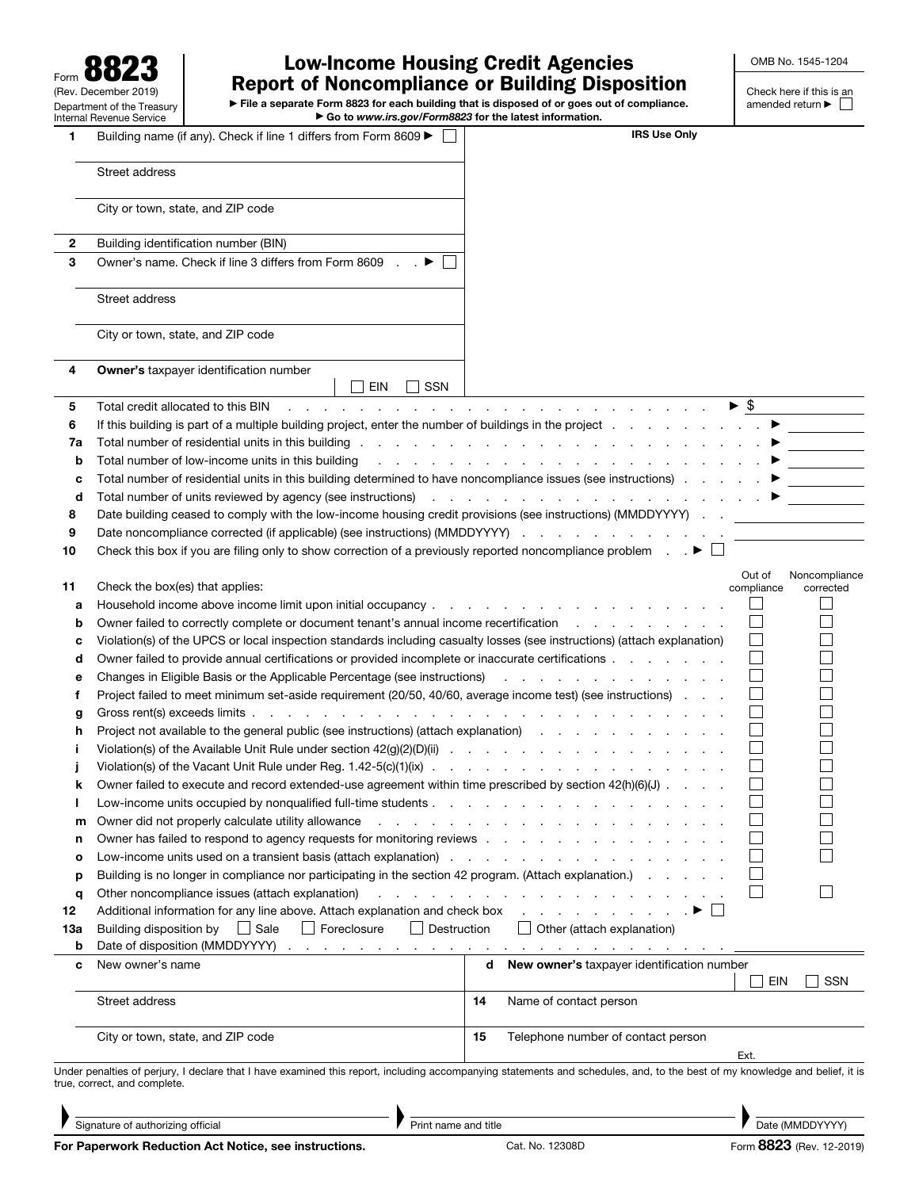| QΩ<br>O<br>Form $\mathbf{O}\mathbf{O}$<br>z            |
|--------------------------------------------------------|
| (Rev. December 2019)                                   |
| Department of the Treasury<br>Internal Revenue Service |

## Low-Income Housing Credit Agencies Report of Noncompliance or Building Disposition

 $\blacktriangleright$  File a separate Form 8823 for each building that is disposed of or goes out of compliance. ▶ Go to *www.irs.gov/Form8823* for the latest information.

OMB No. 1545-1204

Check here if this is an amended return ▶

| 1      | Building name (if any). Check if line 1 differs from Form 8609 ▶                                                                                                                                                                                                                                                                                                                                                                                                                                  | <b>IRS Use Only</b>                                                                                                                         |                   |
|--------|---------------------------------------------------------------------------------------------------------------------------------------------------------------------------------------------------------------------------------------------------------------------------------------------------------------------------------------------------------------------------------------------------------------------------------------------------------------------------------------------------|---------------------------------------------------------------------------------------------------------------------------------------------|-------------------|
|        | Street address                                                                                                                                                                                                                                                                                                                                                                                                                                                                                    |                                                                                                                                             |                   |
|        | City or town, state, and ZIP code                                                                                                                                                                                                                                                                                                                                                                                                                                                                 |                                                                                                                                             |                   |
| 2      | Building identification number (BIN)                                                                                                                                                                                                                                                                                                                                                                                                                                                              |                                                                                                                                             |                   |
| 3      | Owner's name. Check if line 3 differs from Form 8609 ▶ □                                                                                                                                                                                                                                                                                                                                                                                                                                          |                                                                                                                                             |                   |
|        | Street address                                                                                                                                                                                                                                                                                                                                                                                                                                                                                    |                                                                                                                                             |                   |
|        | City or town, state, and ZIP code                                                                                                                                                                                                                                                                                                                                                                                                                                                                 |                                                                                                                                             |                   |
| 4      | <b>Owner's taxpayer identification number</b><br>SSN<br>EIN                                                                                                                                                                                                                                                                                                                                                                                                                                       |                                                                                                                                             |                   |
| 5      | Total credit allocated to this BIN                                                                                                                                                                                                                                                                                                                                                                                                                                                                | $\blacktriangleright$ \$<br>the contract of the contract of the contract of the contract of the contract of the contract of the contract of |                   |
| 6      | If this building is part of a multiple building project, enter the number of buildings in the project                                                                                                                                                                                                                                                                                                                                                                                             |                                                                                                                                             |                   |
| 7a     |                                                                                                                                                                                                                                                                                                                                                                                                                                                                                                   |                                                                                                                                             |                   |
| b      | Total number of low-income units in this building                                                                                                                                                                                                                                                                                                                                                                                                                                                 |                                                                                                                                             |                   |
| с      | Total number of residential units in this building determined to have noncompliance issues (see instructions)                                                                                                                                                                                                                                                                                                                                                                                     |                                                                                                                                             |                   |
| d      | Total number of units reviewed by agency (see instructions) and the contract of the contract of the contract of the contract of the contract of the contract of the contract of the contract of the contract of the contract o                                                                                                                                                                                                                                                                    |                                                                                                                                             |                   |
| 8      | Date building ceased to comply with the low-income housing credit provisions (see instructions) (MMDDYYYY) .                                                                                                                                                                                                                                                                                                                                                                                      |                                                                                                                                             |                   |
| 9      | Date noncompliance corrected (if applicable) (see instructions) (MMDDYYYY)                                                                                                                                                                                                                                                                                                                                                                                                                        |                                                                                                                                             |                   |
| 10     | Check this box if you are filing only to show correction of a previously reported noncompliance problem $\blacksquare$ .                                                                                                                                                                                                                                                                                                                                                                          |                                                                                                                                             |                   |
|        |                                                                                                                                                                                                                                                                                                                                                                                                                                                                                                   | Out of                                                                                                                                      | Noncompliance     |
| 11     | Check the box(es) that applies:                                                                                                                                                                                                                                                                                                                                                                                                                                                                   | compliance                                                                                                                                  | corrected         |
| а      |                                                                                                                                                                                                                                                                                                                                                                                                                                                                                                   |                                                                                                                                             |                   |
| b      | Owner failed to correctly complete or document tenant's annual income recertification                                                                                                                                                                                                                                                                                                                                                                                                             |                                                                                                                                             |                   |
| с      | Violation(s) of the UPCS or local inspection standards including casualty losses (see instructions) (attach explanation)                                                                                                                                                                                                                                                                                                                                                                          |                                                                                                                                             |                   |
| d      | Owner failed to provide annual certifications or provided incomplete or inaccurate certifications                                                                                                                                                                                                                                                                                                                                                                                                 |                                                                                                                                             |                   |
| е      | Changes in Eligible Basis or the Applicable Percentage (see instructions)                                                                                                                                                                                                                                                                                                                                                                                                                         | the contract of the contract of the contract of                                                                                             |                   |
| f      | Project failed to meet minimum set-aside requirement (20/50, 40/60, average income test) (see instructions)                                                                                                                                                                                                                                                                                                                                                                                       |                                                                                                                                             |                   |
| g      | Gross rent(s) exceeds limits.<br>the contract of the contract of the contract of the contract of the contract of the contract of the contract of the contract of the contract of the contract of the contract of the contract of the contract of the contract o<br>Project not available to the general public (see instructions) (attach explanation) (asset of a content of a content of a content of the splanation) (b) and a content of a content of the splanation of a content of a conten |                                                                                                                                             |                   |
| h<br>п |                                                                                                                                                                                                                                                                                                                                                                                                                                                                                                   |                                                                                                                                             |                   |
|        |                                                                                                                                                                                                                                                                                                                                                                                                                                                                                                   |                                                                                                                                             |                   |
| k      | Owner failed to execute and record extended-use agreement within time prescribed by section 42(h)(6)(J).                                                                                                                                                                                                                                                                                                                                                                                          |                                                                                                                                             |                   |
| I.     | Low-income units occupied by nonqualified full-time students                                                                                                                                                                                                                                                                                                                                                                                                                                      |                                                                                                                                             |                   |
| m      | Owner did not properly calculate utility allowance                                                                                                                                                                                                                                                                                                                                                                                                                                                | the control of the control of the con-                                                                                                      |                   |
| n      | Owner has failed to respond to agency requests for monitoring reviews entity and the state of the state of the                                                                                                                                                                                                                                                                                                                                                                                    |                                                                                                                                             |                   |
| o      | Low-income units used on a transient basis (attach explanation)                                                                                                                                                                                                                                                                                                                                                                                                                                   |                                                                                                                                             |                   |
| р      | Building is no longer in compliance nor participating in the section 42 program. (Attach explanation.)                                                                                                                                                                                                                                                                                                                                                                                            |                                                                                                                                             |                   |
| q      | Other noncompliance issues (attach explanation)                                                                                                                                                                                                                                                                                                                                                                                                                                                   | the second contract of the second contract of the second                                                                                    |                   |
| 12     | Additional information for any line above. Attach explanation and check box                                                                                                                                                                                                                                                                                                                                                                                                                       |                                                                                                                                             |                   |
| 13а    | $\Box$ Sale<br>$\Box$ Foreclosure<br>$\Box$ Destruction<br>Building disposition by                                                                                                                                                                                                                                                                                                                                                                                                                | $\Box$ Other (attach explanation)                                                                                                           |                   |
| b      |                                                                                                                                                                                                                                                                                                                                                                                                                                                                                                   |                                                                                                                                             |                   |
| c      | New owner's name                                                                                                                                                                                                                                                                                                                                                                                                                                                                                  | <b>New owner's taxpayer identification number</b><br>d                                                                                      | EIN<br><b>SSN</b> |
|        | Street address                                                                                                                                                                                                                                                                                                                                                                                                                                                                                    | 14<br>Name of contact person                                                                                                                |                   |
|        | City or town, state, and ZIP code                                                                                                                                                                                                                                                                                                                                                                                                                                                                 | 15<br>Telephone number of contact person<br>Ext.                                                                                            |                   |
|        | Under penalties of perjury, I declare that I have examined this report, including accompanying statements and schedules, and, to the best of my knowledge and belief, it is<br>true, correct, and complete.<br>Signature of authorizing official<br>Print name and title                                                                                                                                                                                                                          |                                                                                                                                             | Date (MMDDYYYY)   |

Signature of authorizing official

Print name and title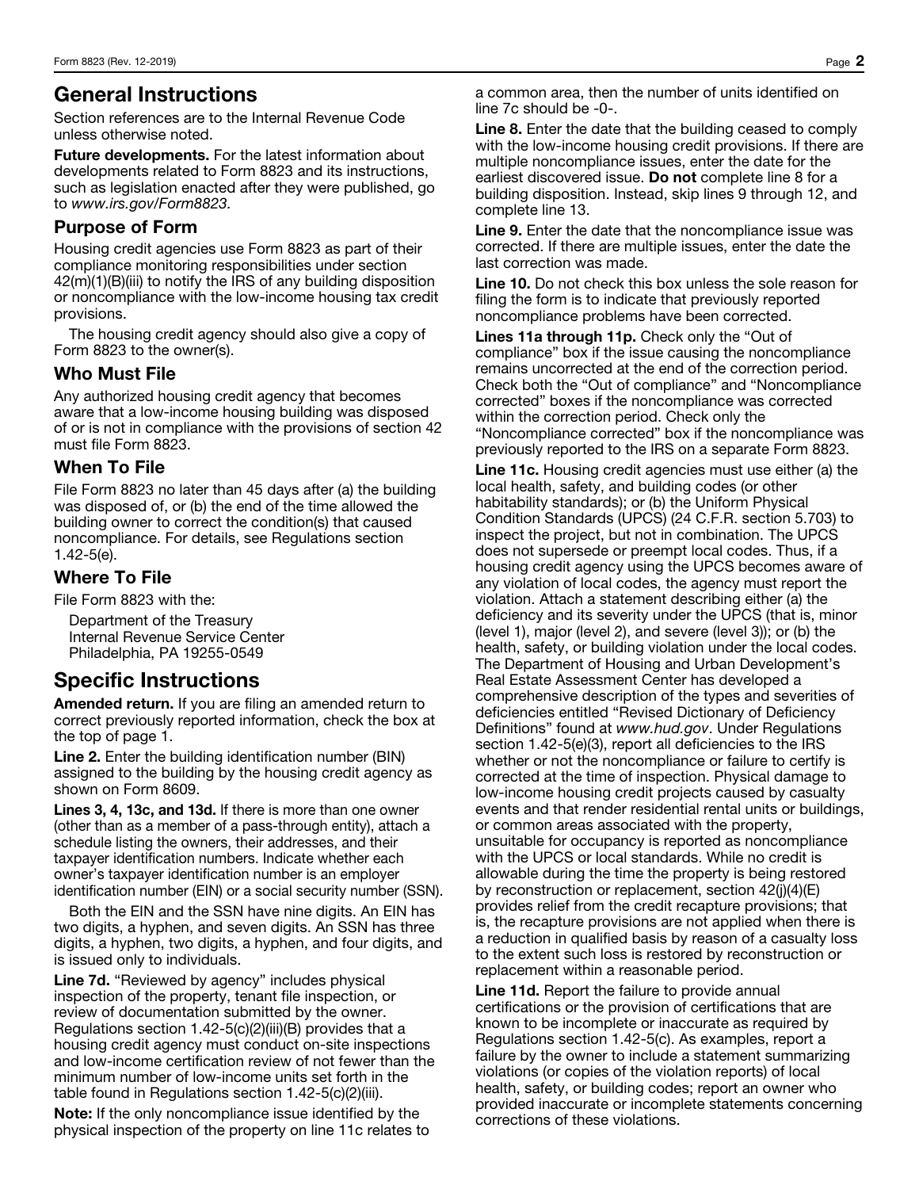## General Instructions

Section references are to the Internal Revenue Code unless otherwise noted.

**Future developments.** For the latest information about developments related to Form 8823 and its instructions, such as legislation enacted after they were published, go to *www.irs.gov/Form8823.*

### Purpose of Form

Housing credit agencies use Form 8823 as part of their compliance monitoring responsibilities under section 42(m)(1)(B)(iii) to notify the IRS of any building disposition or noncompliance with the low-income housing tax credit provisions.

The housing credit agency should also give a copy of Form 8823 to the owner(s).

#### Who Must File

Any authorized housing credit agency that becomes aware that a low-income housing building was disposed of or is not in compliance with the provisions of section 42 must file Form 8823.

#### When To File

File Form 8823 no later than 45 days after (a) the building was disposed of, or (b) the end of the time allowed the building owner to correct the condition(s) that caused noncompliance. For details, see Regulations section 1.42-5(e).

#### Where To File

File Form 8823 with the:

Department of the Treasury Internal Revenue Service Center Philadelphia, PA 19255-0549

# Specific Instructions

Amended return. If you are filing an amended return to correct previously reported information, check the box at the top of page 1.

Line 2. Enter the building identification number (BIN) assigned to the building by the housing credit agency as shown on Form 8609.

Lines 3, 4, 13c, and 13d. If there is more than one owner (other than as a member of a pass-through entity), attach a schedule listing the owners, their addresses, and their taxpayer identification numbers. Indicate whether each owner's taxpayer identification number is an employer identification number (EIN) or a social security number (SSN).

Both the EIN and the SSN have nine digits. An EIN has two digits, a hyphen, and seven digits. An SSN has three digits, a hyphen, two digits, a hyphen, and four digits, and is issued only to individuals.

Line 7d. "Reviewed by agency" includes physical inspection of the property, tenant file inspection, or review of documentation submitted by the owner. Regulations section  $1.42-5(c)(2)(iii)(B)$  provides that a housing credit agency must conduct on-site inspections and low-income certification review of not fewer than the minimum number of low-income units set forth in the table found in Regulations section 1.42-5(c)(2)(iii).

Note: If the only noncompliance issue identified by the physical inspection of the property on line 11c relates to a common area, then the number of units identified on line 7c should be -0-.

Line 8. Enter the date that the building ceased to comply with the low-income housing credit provisions. If there are multiple noncompliance issues, enter the date for the earliest discovered issue. Do not complete line 8 for a building disposition. Instead, skip lines 9 through 12, and complete line 13.

Line 9. Enter the date that the noncompliance issue was corrected. If there are multiple issues, enter the date the last correction was made.

Line 10. Do not check this box unless the sole reason for filing the form is to indicate that previously reported noncompliance problems have been corrected.

Lines 11a through 11p. Check only the "Out of compliance" box if the issue causing the noncompliance remains uncorrected at the end of the correction period. Check both the "Out of compliance" and "Noncompliance corrected" boxes if the noncompliance was corrected within the correction period. Check only the "Noncompliance corrected" box if the noncompliance was previously reported to the IRS on a separate Form 8823.

Line 11c. Housing credit agencies must use either (a) the local health, safety, and building codes (or other habitability standards); or (b) the Uniform Physical Condition Standards (UPCS) (24 C.F.R. section 5.703) to inspect the project, but not in combination. The UPCS does not supersede or preempt local codes. Thus, if a housing credit agency using the UPCS becomes aware of any violation of local codes, the agency must report the violation. Attach a statement describing either (a) the deficiency and its severity under the UPCS (that is, minor (level 1), major (level 2), and severe (level 3)); or (b) the health, safety, or building violation under the local codes. The Department of Housing and Urban Development's Real Estate Assessment Center has developed a comprehensive description of the types and severities of deficiencies entitled "Revised Dictionary of Deficiency Definitions" found at *www.hud.gov*. Under Regulations section 1.42-5(e)(3), report all deficiencies to the IRS whether or not the noncompliance or failure to certify is corrected at the time of inspection. Physical damage to low-income housing credit projects caused by casualty events and that render residential rental units or buildings, or common areas associated with the property, unsuitable for occupancy is reported as noncompliance with the UPCS or local standards. While no credit is allowable during the time the property is being restored by reconstruction or replacement, section  $42(j)(4)(E)$ provides relief from the credit recapture provisions; that is, the recapture provisions are not applied when there is a reduction in qualified basis by reason of a casualty loss to the extent such loss is restored by reconstruction or replacement within a reasonable period.

Line 11d. Report the failure to provide annual certifications or the provision of certifications that are known to be incomplete or inaccurate as required by Regulations section 1.42-5(c). As examples, report a failure by the owner to include a statement summarizing violations (or copies of the violation reports) of local health, safety, or building codes; report an owner who provided inaccurate or incomplete statements concerning corrections of these violations.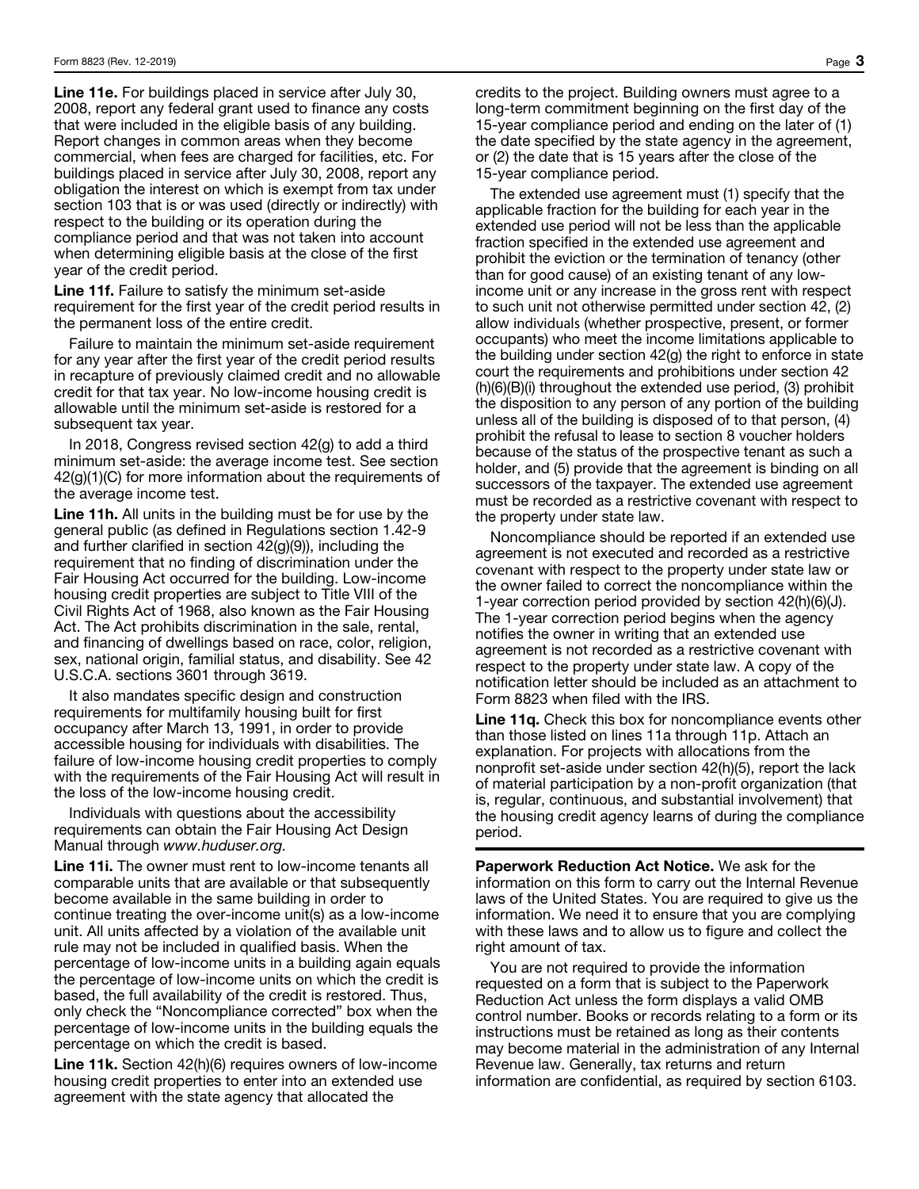Line 11e. For buildings placed in service after July 30, 2008, report any federal grant used to finance any costs that were included in the eligible basis of any building. Report changes in common areas when they become commercial, when fees are charged for facilities, etc. For buildings placed in service after July 30, 2008, report any obligation the interest on which is exempt from tax under section 103 that is or was used (directly or indirectly) with respect to the building or its operation during the compliance period and that was not taken into account when determining eligible basis at the close of the first year of the credit period.

Line 11f. Failure to satisfy the minimum set-aside requirement for the first year of the credit period results in the permanent loss of the entire credit.

Failure to maintain the minimum set-aside requirement for any year after the first year of the credit period results in recapture of previously claimed credit and no allowable credit for that tax year. No low-income housing credit is allowable until the minimum set-aside is restored for a subsequent tax year.

In 2018, Congress revised section 42(g) to add a third minimum set-aside: the average income test. See section 42(g)(1)(C) for more information about the requirements of the average income test.

Line 11h. All units in the building must be for use by the general public (as defined in Regulations section 1.42-9 and further clarified in section 42(g)(9)), including the requirement that no finding of discrimination under the Fair Housing Act occurred for the building. Low-income housing credit properties are subject to Title VIII of the Civil Rights Act of 1968, also known as the Fair Housing Act. The Act prohibits discrimination in the sale, rental, and financing of dwellings based on race, color, religion, sex, national origin, familial status, and disability. See 42 U.S.C.A. sections 3601 through 3619.

It also mandates specific design and construction requirements for multifamily housing built for first occupancy after March 13, 1991, in order to provide accessible housing for individuals with disabilities. The failure of low-income housing credit properties to comply with the requirements of the Fair Housing Act will result in the loss of the low-income housing credit.

Individuals with questions about the accessibility requirements can obtain the Fair Housing Act Design Manual through *www.huduser.org.*

Line 11. The owner must rent to low-income tenants all comparable units that are available or that subsequently become available in the same building in order to continue treating the over-income unit(s) as a low-income unit. All units affected by a violation of the available unit rule may not be included in qualified basis. When the percentage of low-income units in a building again equals the percentage of low-income units on which the credit is based, the full availability of the credit is restored. Thus, only check the "Noncompliance corrected" box when the percentage of low-income units in the building equals the percentage on which the credit is based.

Line 11k. Section 42(h)(6) requires owners of low-income housing credit properties to enter into an extended use agreement with the state agency that allocated the

credits to the project. Building owners must agree to a long-term commitment beginning on the first day of the 15-year compliance period and ending on the later of (1) the date specified by the state agency in the agreement, or (2) the date that is 15 years after the close of the 15-year compliance period.

The extended use agreement must (1) specify that the applicable fraction for the building for each year in the extended use period will not be less than the applicable fraction specified in the extended use agreement and prohibit the eviction or the termination of tenancy (other than for good cause) of an existing tenant of any lowincome unit or any increase in the gross rent with respect to such unit not otherwise permitted under section 42, (2) allow individuals (whether prospective, present, or former occupants) who meet the income limitations applicable to the building under section 42(g) the right to enforce in state court the requirements and prohibitions under section 42 (h)(6)(B)(i) throughout the extended use period, (3) prohibit the disposition to any person of any portion of the building unless all of the building is disposed of to that person, (4) prohibit the refusal to lease to section 8 voucher holders because of the status of the prospective tenant as such a holder, and (5) provide that the agreement is binding on all successors of the taxpayer. The extended use agreement must be recorded as a restrictive covenant with respect to the property under state law.

Noncompliance should be reported if an extended use agreement is not executed and recorded as a restrictive covenant with respect to the property under state law or the owner failed to correct the noncompliance within the 1-year correction period provided by section 42(h)(6)(J). The 1-year correction period begins when the agency notifies the owner in writing that an extended use agreement is not recorded as a restrictive covenant with respect to the property under state law. A copy of the notification letter should be included as an attachment to Form 8823 when filed with the IRS.

Line 11q. Check this box for noncompliance events other than those listed on lines 11a through 11p. Attach an explanation. For projects with allocations from the nonprofit set-aside under section 42(h)(5), report the lack of material participation by a non-profit organization (that is, regular, continuous, and substantial involvement) that the housing credit agency learns of during the compliance period.

Paperwork Reduction Act Notice. We ask for the information on this form to carry out the Internal Revenue laws of the United States. You are required to give us the information. We need it to ensure that you are complying with these laws and to allow us to figure and collect the right amount of tax.

You are not required to provide the information requested on a form that is subject to the Paperwork Reduction Act unless the form displays a valid OMB control number. Books or records relating to a form or its instructions must be retained as long as their contents may become material in the administration of any Internal Revenue law. Generally, tax returns and return information are confidential, as required by section 6103.